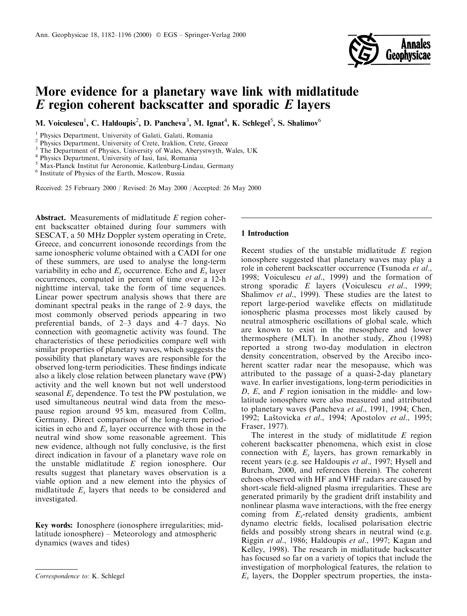

# More evidence for a planetary wave link with midlatitude *E* region coherent backscatter and sporadic *E* layers

M. Voiculescu<sup>1</sup>, C. Haldoupis<sup>2</sup>, D. Pancheva<sup>3</sup>, M. Ignat<sup>4</sup>, K. Schlegel<sup>5</sup>, S. Shalimov<sup>6</sup>

<sup>1</sup> Physics Department, University of Galati, Galati, Romania

<sup>2</sup> Physics Department, University of Crete, Iraklion, Crete, Greece

<sup>3</sup> The Department of Physics, University of Wales, Aberystwyth, Wales, UK

<sup>4</sup> Physics Department, University of Iasi, Iasi, Romania

<sup>5</sup> Max-Planck Institut fur Aeronomie, Katlenburg-Lindau, Germany

<sup>6</sup> Institute of Physics of the Earth, Moscow, Russia

Received: 25 February 2000 / Revised: 26 May 2000 / Accepted: 26 May 2000

**Abstract.** Measurements of midlatitude E region coherent backscatter obtained during four summers with SESCAT, a 50 MHz Doppler system operating in Crete, Greece, and concurrent ionosonde recordings from the same ionospheric volume obtained with a CADI for one of these summers, are used to analyse the long-term variability in echo and  $E<sub>s</sub>$  occurrence. Echo and  $E<sub>s</sub>$  layer occurrences, computed in percent of time over a 12-h nighttime interval, take the form of time sequences. Linear power spectrum analysis shows that there are dominant spectral peaks in the range of 2–9 days, the most commonly observed periods appearing in two preferential bands, of 2-3 days and 4-7 days. No connection with geomagnetic activity was found. The characteristics of these periodicities compare well with similar properties of planetary waves, which suggests the possibility that planetary waves are responsible for the observed long-term periodicities. These findings indicate also a likely close relation between planetary wave (PW) activity and the well known but not well understood seasonal  $E_s$  dependence. To test the PW postulation, we used simultaneous neutral wind data from the mesopause region around 95 km, measured from Collm, Germany. Direct comparison of the long-term periodicities in echo and  $E<sub>s</sub>$  layer occurrence with those in the neutral wind show some reasonable agreement. This new evidence, although not fully conclusive, is the first direct indication in favour of a planetary wave role on the unstable midlatitude  $E$  region ionosphere. Our results suggest that planetary waves observation is a viable option and a new element into the physics of midlatitude  $E<sub>s</sub>$  layers that needs to be considered and investigated.

**Key words:** Ionosphere (ionosphere irregularities: midlatitude ionosphere) – Meteorology and atmospheric dynamics (waves and tides)

# 1 Introduction

Recent studies of the unstable midlatitude E region ionosphere suggested that planetary waves may play a role in coherent backscatter occurrence (Tsunoda et al., 1998; Voiculescu et al., 1999) and the formation of strong sporadic E layers (Voiculescu et al., 1999; Shalimov et al., 1999). These studies are the latest to report large-period wavelike effects on midlatitude ionospheric plasma processes most likely caused by neutral atmospheric oscillations of global scale, which are known to exist in the mesosphere and lower thermosphere (MLT). In another study, Zhou (1998) reported a strong two-day modulation in electron density concentration, observed by the Arecibo incoherent scatter radar near the mesopause, which was attributed to the passage of a quasi-2-day planetary wave. In earlier investigations, long-term periodicities in D, E, and F region ionisation in the middle- and lowlatitude ionosphere were also measured and attributed to planetary waves (Pancheva et al., 1991, 1994; Chen, 1992; Laštovicka et al., 1994; Apostolov et al., 1995; Fraser, 1977).

The interest in the study of midlatitude  $E$  region coherent backscatter phenomena, which exist in close connection with  $E_s$  layers, has grown remarkably in recent years (e.g. see Haldoupis *et al.*, 1997; Hysell and Burcham, 2000, and references therein). The coherent echoes observed with HF and VHF radars are caused by short-scale field-aligned plasma irregularities. These are generated primarily by the gradient drift instability and nonlinear plasma wave interactions, with the free energy coming from  $E_s$ -related density gradients, ambient dynamo electric fields, localised polarisation electric fields and possibly strong shears in neutral wind (e.g. Riggin et al., 1986; Haldoupis et al., 1997; Kagan and Kelley, 1998). The research in midlatitude backscatter has focused so far on a variety of topics that include the investigation of morphological features, the relation to  $E_s$  layers, the Doppler spectrum properties, the insta-

Correspondence to: K. Schlegel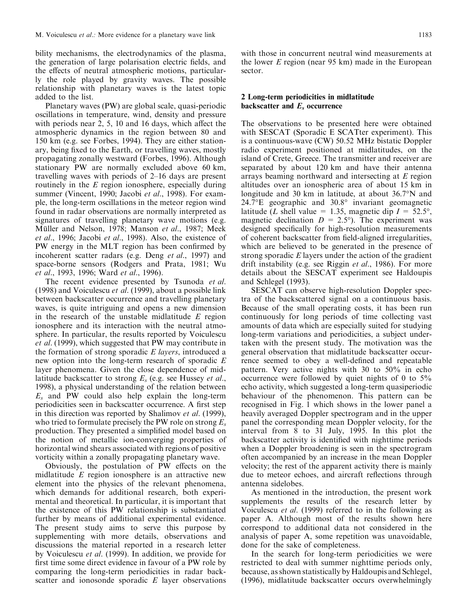bility mechanisms, the electrodynamics of the plasma, the generation of large polarisation electric fields, and the effects of neutral atmospheric motions, particularly the role played by gravity waves. The possible relationship with planetary waves is the latest topic added to the list.

Planetary waves (PW) are global scale, quasi-periodic oscillations in temperature, wind, density and pressure with periods near 2, 5, 10 and 16 days, which affect the atmospheric dynamics in the region between 80 and 150 km (e.g. see Forbes, 1994). They are either stationary, being fixed to the Earth, or travelling waves, mostly propagating zonally westward (Forbes, 1996). Although stationary PW are normally excluded above 60 km, travelling waves with periods of 2-16 days are present routinely in the  $E$  region ionosphere, especially during summer (Vincent, 1990; Jacobi et al., 1998). For example, the long-term oscillations in the meteor region wind found in radar observations are normally interpreted as signatures of travelling planetary wave motions (e.g. Müller and Nelson, 1978; Manson et al., 1987; Meek et al., 1996; Jacobi et al., 1998). Also, the existence of PW energy in the MLT region has been confirmed by incoherent scatter radars (e.g. Deng *et al.*, 1997) and space-borne sensors (Rodgers and Prata, 1981; Wu et al., 1993, 1996; Ward et al., 1996).

The recent evidence presented by Tsunoda et al. (1998) and Voiculescu *et al.* (1999), about a possible link between backscatter occurrence and travelling planetary waves, is quite intriguing and opens a new dimension in the research of the unstable midlatitude  $E$  region ionosphere and its interaction with the neutral atmosphere. In particular, the results reported by Voiculescu *et al.* (1999), which suggested that PW may contribute in the formation of strong sporadic *E* layers, introduced a new option into the long-term research of sporadic E layer phenomena. Given the close dependence of midlatitude backscatter to strong  $E_s$  (e.g. see Hussey *et al.*, 1998), a physical understanding of the relation between  $E_s$  and PW could also help explain the long-term periodicities seen in backscatter occurrence. A first step in this direction was reported by Shalimov et al. (1999), who tried to formulate precisely the PW role on strong  $E_s$ production. They presented a simplified model based on the notion of metallic ion-converging properties of horizontal wind shears associated with regions of positive vorticity within a zonally propagating planetary wave.

Obviously, the postulation of PW effects on the midlatitude  $E$  region ionosphere is an attractive new element into the physics of the relevant phenomena, which demands for additional research, both experimental and theoretical. In particular, it is important that the existence of this PW relationship is substantiated further by means of additional experimental evidence. The present study aims to serve this purpose by supplementing with more details, observations and discussions the material reported in a research letter by Voiculescu *et al.* (1999). In addition, we provide for first time some direct evidence in favour of a PW role by comparing the long-term periodicities in radar backscatter and ionosonde sporadic  $E$  layer observations

with those in concurrent neutral wind measurements at the lower  $E$  region (near 95 km) made in the European sector.

### 2 Long-term periodicities in midlatitude backscatter and  $E_s$  occurrence

The observations to be presented here were obtained with SESCAT (Sporadic E SCATter experiment). This is a continuous-wave (CW) 50.52 MHz bistatic Doppler radio experiment positioned at midlatitudes, on the island of Crete, Greece. The transmitter and receiver are separated by about 120 km and have their antenna arrays beaming northward and intersecting at  $E$  region altitudes over an ionospheric area of about 15 km in longitude and 30 km in latitude, at about 36.7°N and  $24.7^{\circ}E$  geographic and  $30.8^{\circ}$  invariant geomagnetic latitude (L shell value = 1.35, magnetic dip  $I = 52.5^{\circ}$ , magnetic declination  $D = 2.5^{\circ}$ ). The experiment was designed specifically for high-resolution measurements of coherent backscatter from field-aligned irregularities, which are believed to be generated in the presence of strong sporadic  $E$  layers under the action of the gradient drift instability (e.g. see Riggin *et al.*, 1986). For more details about the SESCAT experiment see Haldoupis and Schlegel (1993).

SESCAT can observe high-resolution Doppler spectra of the backscattered signal on a continuous basis. Because of the small operating costs, it has been run continuously for long periods of time collecting vast amounts of data which are especially suited for studying long-term variations and periodicities, a subject undertaken with the present study. The motivation was the general observation that midlatitude backscatter occurrence seemed to obey a well-defined and repeatable pattern. Very active nights with 30 to 50% in echo occurrence were followed by quiet nights of 0 to 5% echo activity, which suggested a long-term quasiperiodic behaviour of the phenomenon. This pattern can be recognised in Fig. 1 which shows in the lower panel a heavily averaged Doppler spectrogram and in the upper panel the corresponding mean Doppler velocity, for the interval from 8 to 31 July, 1995. In this plot the backscatter activity is identified with nighttime periods when a Doppler broadening is seen in the spectrogram often accompanied by an increase in the mean Doppler velocity; the rest of the apparent activity there is mainly due to meteor echoes, and aircraft reflections through antenna sidelobes.

As mentioned in the introduction, the present work supplements the results of the research letter by Voiculescu et al. (1999) referred to in the following as paper A. Although most of the results shown here correspond to additional data not considered in the analysis of paper A, some repetition was unavoidable, done for the sake of completeness.

In the search for long-term periodicities we were restricted to deal with summer nighttime periods only, because, as shown statistically by Haldoupis and Schlegel, (1996), midlatitude backscatter occurs overwhelmingly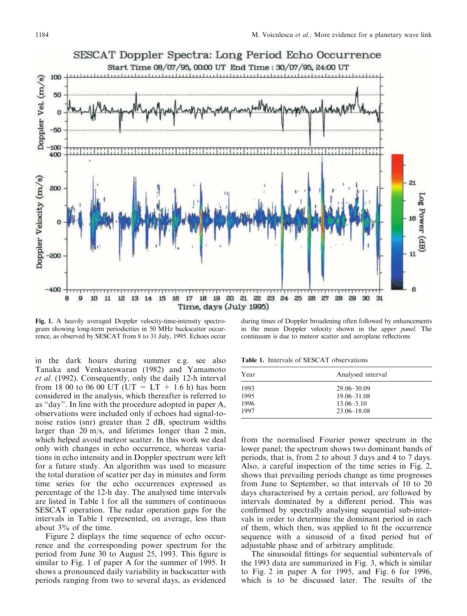

Fig. 1. A heavily averaged Doppler velocity-time-intensity spectrogram showing long-term periodicities in 50 MHz backscatter occurrence, as observed by SESCAT from 8 to 31 July, 1995. Echoes occur

in the dark hours during summer e.g. see also Tanaka and Venkateswaran (1982) and Yamamoto et al. (1992). Consequently, only the daily 12-h interval from 18 00 to 06 00 UT (UT =  $LT + 1.6$  h) has been considered in the analysis, which thereafter is referred to as "day". In line with the procedure adopted in paper A, observations were included only if echoes had signal-tonoise ratios (snr) greater than 2 dB, spectrum widths larger than  $20 \text{ m/s}$ , and lifetimes longer than  $2 \text{ min}$ , which helped avoid meteor scatter. In this work we deal only with changes in echo occurrence, whereas variations in echo intensity and in Doppler spectrum were left for a future study. An algorithm was used to measure the total duration of scatter per day in minutes and form time series for the echo occurrences expressed as percentage of the 12-h day. The analysed time intervals are listed in Table 1 for all the summers of continuous SESCAT operation. The radar operation gaps for the intervals in Table 1 represented, on average, less than about  $3\%$  of the time.

Figure 2 displays the time sequence of echo occurrence and the corresponding power spectrum for the period from June 30 to August 25, 1993. This figure is similar to Fig. 1 of paper A for the summer of 1995. It shows a pronounced daily variability in backscatter with periods ranging from two to several days, as evidenced

during times of Doppler broadening often followed by enhancements in the mean Doppler velocity shown in the upper panel. The continuum is due to meteor scatter and aeroplane reflections

Table 1. Intervals of SESCAT observations

| Year | Analysed interval |
|------|-------------------|
| 1993 | $29.06 - 30.09$   |
| 1995 | $19.06 - 31.08$   |
| 1996 | $13.06 - 3.10$    |
| 1997 | $23.06 - 18.08$   |

from the normalised Fourier power spectrum in the lower panel; the spectrum shows two dominant bands of periods, that is, from 2 to about 3 days and 4 to 7 days. Also, a careful inspection of the time series in Fig. 2, shows that prevailing periods change as time progresses from June to September, so that intervals of 10 to 20 days characterised by a certain period, are followed by intervals dominated by a different period. This was confirmed by spectrally analysing sequential sub-intervals in order to determine the dominant period in each of them, which then, was applied to fit the occurrence sequence with a sinusoid of a fixed period but of adjustable phase and of arbitrary amplitude.

The sinusoidal fittings for sequential subintervals of the 1993 data are summarized in Fig. 3, which is similar to Fig. 2 in paper A for 1995, and Fig. 6 for 1996, which is to be discussed later. The results of the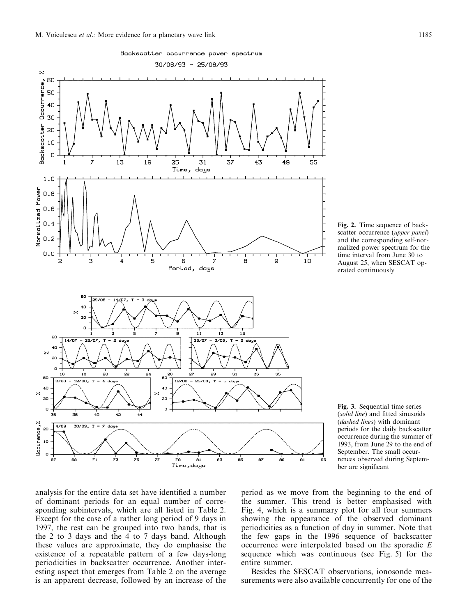



Fig. 3. Sequential time series (solid line) and fitted sinusoids (dashed lines) with dominant periods for the daily backscatter occurrence during the summer of 1993, from June 29 to the end of September. The small occurrences observed during September are significant

analysis for the entire data set have identified a number of dominant periods for an equal number of corresponding subintervals, which are all listed in Table 2. Except for the case of a rather long period of 9 days in 1997, the rest can be grouped into two bands, that is the 2 to 3 days and the 4 to 7 days band. Although these values are approximate, they do emphasise the existence of a repeatable pattern of a few days-long periodicities in backscatter occurrence. Another interesting aspect that emerges from Table 2 on the average is an apparent decrease, followed by an increase of the

period as we move from the beginning to the end of the summer. This trend is better emphasised with Fig. 4, which is a summary plot for all four summers showing the appearance of the observed dominant periodicities as a function of day in summer. Note that the few gaps in the 1996 sequence of backscatter occurrence were interpolated based on the sporadic  $E$ sequence which was continuous (see Fig. 5) for the entire summer.

Besides the SESCAT observations, ionosonde measurements were also available concurrently for one of the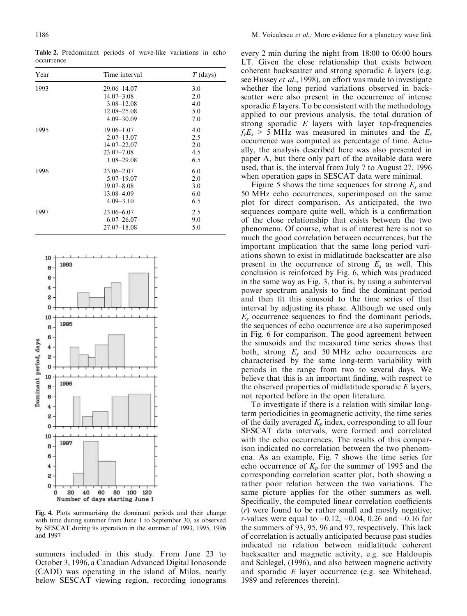1996

1997

occurrence Year Time interval  $T$  (days) 1993 29.06-14.07  $3.0$  $14.07 - 3.08$ 2.0  $4.0$  $3.08 - 12.08$ 12.08-25.08 5.0  $4.09 - 30.09$ 7.0  $4.0$ 1995  $19.06 - 1.07$ 

 $2.07 - 13.07$ 

14.07-22.07

 $1.08 - 29.08$ 

 $5.07 - 19.07$ 

23.07-7.08

 $23.06 - 2.07$ 

 $19.07 - 8.08$ 13.08-4.09

 $4.09 - 3.10$ 

23.06-6.07  $6.07 - 26.07$ 

 $27.07 - 18.08$ 

2.5

 $20$ 

 $4.5$ 

6.5

6.0

 $2.0$ 

 $3.0$ 

6.0

6.5

 $2.5$ 

9.0

5.0

Table 2. Predominant periods of wave-like variations in echo



Fig. 4. Plots summarising the dominant periods and their change with time during summer from June 1 to September 30, as observed by SESCAT during its operation in the summer of 1993, 1995, 1996 and 1997

summers included in this study. From June 23 to October 3, 1996, a Canadian Advanced Digital Ionosonde (CADI) was operating in the island of Milos, nearly below SESCAT viewing region, recording ionograms

every 2 min during the night from 18:00 to 06:00 hours LT. Given the close relationship that exists between coherent backscatter and strong sporadic  $E$  layers (e.g. see Hussey *et al.*, 1998), an effort was made to investigate whether the long period variations observed in backscatter were also present in the occurrence of intense sporadic  $E$  layers. To be consistent with the methodology applied to our previous analysis, the total duration of strong sporadic  $E$  layers with layer top-frequencies  $f_t E_s$  > 5 MHz was measured in minutes and the  $E_s$ occurrence was computed as percentage of time. Actually, the analysis described here was also presented in paper A, but there only part of the available data were used, that is, the interval from July 7 to August 27, 1996 when operation gaps in SESCAT data were minimal.

Figure 5 shows the time sequences for strong  $E_s$  and 50 MHz echo occurrences, superimposed on the same plot for direct comparison. As anticipated, the two sequences compare quite well, which is a confirmation of the close relationship that exists between the two phenomena. Of course, what is of interest here is not so much the good correlation between occurrences, but the important implication that the same long period variations shown to exist in midlatitude backscatter are also present in the occurrence of strong  $E_s$  as well. This conclusion is reinforced by Fig. 6, which was produced in the same way as Fig. 3, that is, by using a subinterval power spectrum analysis to find the dominant period and then fit this sinusoid to the time series of that interval by adjusting its phase. Although we used only  $E_s$  occurrence sequences to find the dominant periods, the sequences of echo occurrence are also superimposed in Fig. 6 for comparison. The good agreement between the sinusoids and the measured time series shows that both, strong  $E_s$  and 50 MHz echo occurrences are characterised by the same long-term variability with periods in the range from two to several days. We believe that this is an important finding, with respect to the observed properties of midlatitude sporadic  $E$  layers, not reported before in the open literature.

To investigate if there is a relation with similar longterm periodicities in geomagnetic activity, the time series of the daily averaged  $K_p$  index, corresponding to all four SESCAT data intervals, were formed and correlated with the echo occurrences. The results of this comparison indicated no correlation between the two phenomena. As an example, Fig. 7 shows the time series for echo occurrence of  $K_p$  for the summer of 1995 and the corresponding correlation scatter plot, both showing a rather poor relation between the two variations. The same picture applies for the other summers as well. Specifically, the computed linear correlation coefficients (*r*) were found to be rather small and mostly negative; *r*-values were equal to  $-0.12$ ,  $-0.04$ , 0.26 and  $-0.16$  for the summers of 93, 95, 96 and 97, respectively. This lack of correlation is actually anticipated because past studies indicated no relation between midlatitude coherent backscatter and magnetic activity, e.g. see Haldoupis and Schlegel, (1996), and also between magnetic activity and sporadic  $E$  layer occurrence (e.g. see Whitehead, 1989 and references therein).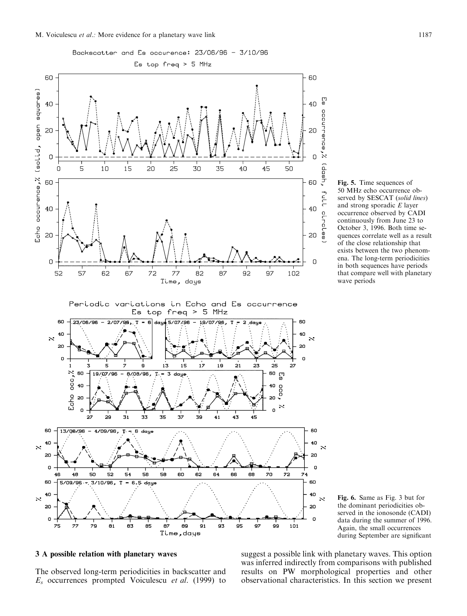

Fig. 5. Time sequences of 50 MHz echo occurrence observed by SESCAT (solid lines) and strong sporadic  $E$  layer occurrence observed by CADI continuously from June 23 to October 3, 1996. Both time sequences correlate well as a result of the close relationship that exists between the two phenomena. The long-term periodicities in both sequences have periods that compare well with planetary wave periods



# 3 A possible relation with planetary waves

The observed long-term periodicities in backscatter and  $E_s$  occurrences prompted Voiculescu et al. (1999) to suggest a possible link with planetary waves. This option was inferred indirectly from comparisons with published results on PW morphological properties and other observational characteristics. In this section we present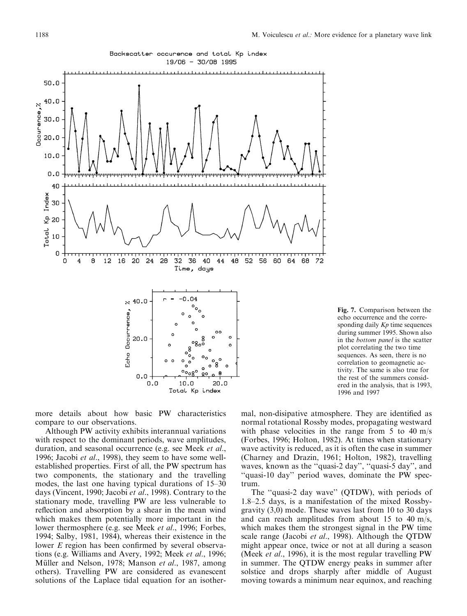





more details about how basic PW characteristics compare to our observations.

Although PW activity exhibits interannual variations with respect to the dominant periods, wave amplitudes, duration, and seasonal occurrence (e.g. see Meek et al., 1996; Jacobi *et al.*, 1998), they seem to have some wellestablished properties. First of all, the PW spectrum has two components, the stationary and the travelling modes, the last one having typical durations of 15–30 days (Vincent, 1990; Jacobi et al., 1998). Contrary to the stationary mode, travelling PW are less vulnerable to reflection and absorption by a shear in the mean wind which makes them potentially more important in the lower thermosphere (e.g. see Meek *et al.*, 1996; Forbes, 1994; Salby, 1981, 1984), whereas their existence in the lower E region has been confirmed by several observations (e.g. Williams and Avery, 1992; Meek *et al.*, 1996; Müller and Nelson, 1978; Manson et al., 1987, among others). Travelling PW are considered as evanescent solutions of the Laplace tidal equation for an isothermal, non-disipative atmosphere. They are identified as normal rotational Rossby modes, propagating westward with phase velocities in the range from  $5$  to  $40 \text{ m/s}$ (Forbes, 1996; Holton, 1982). At times when stationary wave activity is reduced, as it is often the case in summer (Charney and Drazin, 1961; Holton, 1982), travelling waves, known as the "quasi-2 day", "quasi-5 day", and "quasi-10 day" period waves, dominate the PW spectrum.

The "quasi-2 day wave" (QTDW), with periods of 1.8-2.5 days, is a manifestation of the mixed Rossbygravity  $(3,0)$  mode. These waves last from 10 to 30 days and can reach amplitudes from about 15 to 40 m/s, which makes them the strongest signal in the PW time scale range (Jacobi et al., 1998). Although the QTDW might appear once, twice or not at all during a season (Meek *et al.*, 1996), it is the most regular travelling PW in summer. The QTDW energy peaks in summer after solstice and drops sharply after middle of August moving towards a minimum near equinox, and reaching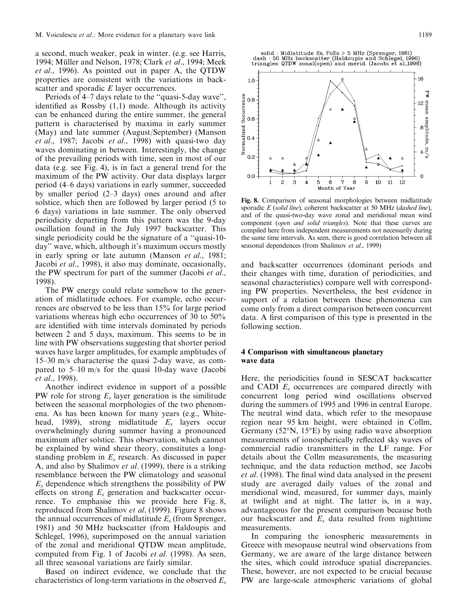a second, much weaker, peak in winter. (e.g. see Harris, 1994; Müller and Nelson, 1978; Clark et al., 1994; Meek *et al.*, 1996). As pointed out in paper A, the QTDW properties are consistent with the variations in backscatter and sporadic  $E$  layer occurrences.

Periods of 4–7 days relate to the "quasi-5-day wave". identified as Rossby  $(1,1)$  mode. Although its activity can be enhanced during the entire summer, the general pattern is characterised by maxima in early summer (May) and late summer (August/September) (Manson *et al.*, 1987; Jacobi *et al.*, 1998) with quasi-two day waves dominating in between. Interestingly, the change of the prevailing periods with time, seen in most of our data (e.g. see Fig. 4), is in fact a general trend for the maximum of the PW activity. Our data displays larger period (4–6 days) variations in early summer, succeeded by smaller period  $(2-3$  days) ones around and after solstice, which then are followed by larger period (5 to 6 days) variations in late summer. The only observed periodicity departing from this pattern was the 9-day oscillation found in the July 1997 backscatter. This single periodicity could be the signature of a "quasi-10day" wave, which, although it's maximum occurs mostly in early spring or late autumn (Manson *et al.*, 1981; Jacobi et al., 1998), it also may dominate, occasionally, the PW spectrum for part of the summer (Jacobi et al., 1998).

The PW energy could relate somehow to the generation of midlatitude echoes. For example, echo occurrences are observed to be less than 15% for large period variations whereas high echo occurrences of 30 to 50% are identified with time intervals dominated by periods between 2 and 5 days, maximum. This seems to be in line with PW observations suggesting that shorter period waves have larger amplitudes, for example amplitudes of  $15-30$  m/s characterise the quasi 2-day wave, as compared to 5–10 m/s for the quasi 10-day wave (Jacobi et al., 1998).

Another indirect evidence in support of a possible PW role for strong  $E_s$  layer generation is the similitude between the seasonal morphologies of the two phenomena. As has been known for many years (e.g., Whitehead, 1989), strong midlatitude  $E_s$  layers occur overwhelmingly during summer having a pronounced maximum after solstice. This observation, which cannot be explained by wind shear theory, constitutes a longstanding problem in  $E_s$  research. As discussed in paper A, and also by Shalimov et al. (1999), there is a striking resemblance between the PW climatology and seasonal  $E<sub>s</sub>$  dependence which strengthens the possibility of PW effects on strong  $E_s$  generation and backscatter occurrence. To emphasise this we provide here Fig. 8, reproduced from Shalimov et al. (1999). Figure 8 shows the annual occurrences of midlatitude  $E_s$  (from Sprenger, 1981) and 50 MHz backscatter (from Haldoupis and Schlegel, 1996), superimposed on the annual variation of the zonal and meridional QTDW mean amplitude, computed from Fig. 1 of Jacobi *et al.* (1998). As seen, all three seasonal variations are fairly similar.

Based on indirect evidence, we conclude that the characteristics of long-term variations in the observed  $E_s$ 



Fig. 8. Comparison of seasonal morphologies between midlatitude sporadic  $E$  (solid line), coherent backscatter at 50 MHz (dashed line), and of the quasi-two-day wave zonal and meridional mean wind component (open and solid triangles). Note that these curves are compiled here from independent measurements not necessarily during the same time intervals. As seen, there is good correlation between all seasonal dependences (from Shalimov et al., 1999)

and backscatter occurrences (dominant periods and their changes with time, duration of periodicities, and seasonal characteristics) compare well with corresponding PW properties. Nevertheless, the best evidence in support of a relation between these phenomena can come only from a direct comparison between concurrent data. A first comparison of this type is presented in the following section.

#### 4 Comparison with simultaneous planetary wave data

Here, the periodicities found in SESCAT backscatter and CADI  $E_s$  occurrences are compared directly with concurrent long period wind oscillations observed during the summers of 1995 and 1996 in central Europe. The neutral wind data, which refer to the mesopause region near 95 km height, were obtained in Collm, Germany ( $52^{\circ}$ N, 15 $^{\circ}$ E) by using radio wave absorption measurements of ionospherically reflected sky waves of commercial radio transmitters in the LF range. For details about the Collm measurements, the measuring technique, and the data reduction method, see Jacobi et al. (1998). The final wind data analysed in the present study are averaged daily values of the zonal and meridional wind, measured, for summer days, mainly at twilight and at night. The latter is, in a way, advantageous for the present comparison because both our backscatter and  $E_s$  data resulted from nighttime measurements.

In comparing the ionospheric measurements in Greece with mesopause neutral wind observations from Germany, we are aware of the large distance between the sites, which could introduce spatial discrepancies. These, however, are not expected to be crucial because PW are large-scale atmospheric variations of global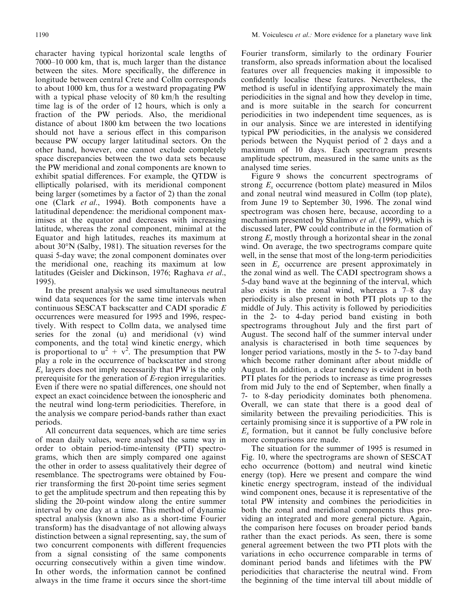character having typical horizontal scale lengths of 7000–10 000 km, that is, much larger than the distance between the sites. More specifically, the difference in longitude between central Crete and Collm corresponds to about 1000 km, thus for a westward propagating PW with a typical phase velocity of 80 km/h the resulting time lag is of the order of 12 hours, which is only a fraction of the PW periods. Also, the meridional distance of about 1800 km between the two locations should not have a serious effect in this comparison because PW occupy larger latitudinal sectors. On the other hand, however, one cannot exclude completely space discrepancies between the two data sets because the PW meridional and zonal components are known to exhibit spatial differences. For example, the QTDW is elliptically polarised, with its meridional component being larger (sometimes by a factor of 2) than the zonal one (Clark *et al.*, 1994). Both components have a latitudinal dependence: the meridional component maximises at the equator and decreases with increasing latitude, whereas the zonal component, minimal at the Equator and high latitudes, reaches its maximum at about  $30^{\circ}$ N (Salby, 1981). The situation reverses for the quasi 5-day wave; the zonal component dominates over the meridional one, reaching its maximum at low latitudes (Geisler and Dickinson, 1976; Raghava et al., 1995).

In the present analysis we used simultaneous neutral wind data sequences for the same time intervals when continuous SESCAT backscatter and CADI sporadic E occurrences were measured for 1995 and 1996, respectively. With respect to Collm data, we analysed time series for the zonal (u) and meridional (v) wind components, and the total wind kinetic energy, which is proportional to  $u^2 + v^2$ . The presumption that PW play a role in the occurrence of backscatter and strong  $E_s$  layers does not imply necessarily that PW is the only prerequisite for the generation of E-region irregularities. Even if there were no spatial differences, one should not expect an exact coincidence between the ionospheric and the neutral wind long-term periodicities. Therefore, in the analysis we compare period-bands rather than exact periods.

All concurrent data sequences, which are time series of mean daily values, were analysed the same way in order to obtain period-time-intensity (PTI) spectrograms, which then are simply compared one against the other in order to assess qualitatively their degree of resemblance. The spectrograms were obtained by Fourier transforming the first 20-point time series segment to get the amplitude spectrum and then repeating this by sliding the 20-point window along the entire summer interval by one day at a time. This method of dynamic spectral analysis (known also as a short-time Fourier transform) has the disadvantage of not allowing always distinction between a signal representing, say, the sum of two concurrent components with different frequencies from a signal consisting of the same components occurring consecutively within a given time window. In other words, the information cannot be confined always in the time frame it occurs since the short-time

Fourier transform, similarly to the ordinary Fourier transform, also spreads information about the localised features over all frequencies making it impossible to confidently localise these features. Nevertheless, the method is useful in identifying approximately the main periodicities in the signal and how they develop in time, and is more suitable in the search for concurrent periodicities in two independent time sequences, as is in our analysis. Since we are interested in identifying typical PW periodicities, in the analysis we considered periods between the Nyquist period of 2 days and a maximum of 10 days. Each spectrogram presents amplitude spectrum, measured in the same units as the analysed time series.

Figure 9 shows the concurrent spectrograms of strong  $E_s$  occurrence (bottom plate) measured in Milos and zonal neutral wind measured in Collm (top plate), from June 19 to September 30, 1996. The zonal wind spectrogram was chosen here, because, according to a mechanism presented by Shalimov et al. (1999), which is discussed later, PW could contribute in the formation of strong  $E_s$  mostly through a horizontal shear in the zonal wind. On average, the two spectrograms compare quite well, in the sense that most of the long-term periodicities seen in  $E_s$  occurrence are present approximately in the zonal wind as well. The CADI spectrogram shows a 5-day band wave at the beginning of the interval, which also exists in the zonal wind, whereas a  $7-8$  day periodicity is also present in both PTI plots up to the middle of July. This activity is followed by periodicities in the 2- to 4-day period band existing in both spectrograms throughout July and the first part of August. The second half of the summer interval under analysis is characterised in both time sequences by longer period variations, mostly in the 5- to 7-day band which become rather dominant after about middle of August. In addition, a clear tendency is evident in both PTI plates for the periods to increase as time progresses from mid July to the end of September, when finally a 7- to 8-day periodicity dominates both phenomena. Overall, we can state that there is a good deal of similarity between the prevailing periodicities. This is certainly promising since it is supportive of a PW role in  $E_s$  formation, but it cannot be fully conclusive before more comparisons are made.

The situation for the summer of 1995 is resumed in Fig. 10, where the spectrograms are shown of SESCAT echo occurrence (bottom) and neutral wind kinetic energy (top). Here we present and compare the wind kinetic energy spectrogram, instead of the individual wind component ones, because it is representative of the total PW intensity and combines the periodicities in both the zonal and meridional components thus providing an integrated and more general picture. Again, the comparison here focuses on broader period bands rather than the exact periods. As seen, there is some general agreement between the two PTI plots with the variations in echo occurrence comparable in terms of dominant period bands and lifetimes with the PW periodicities that characterise the neutral wind. From the beginning of the time interval till about middle of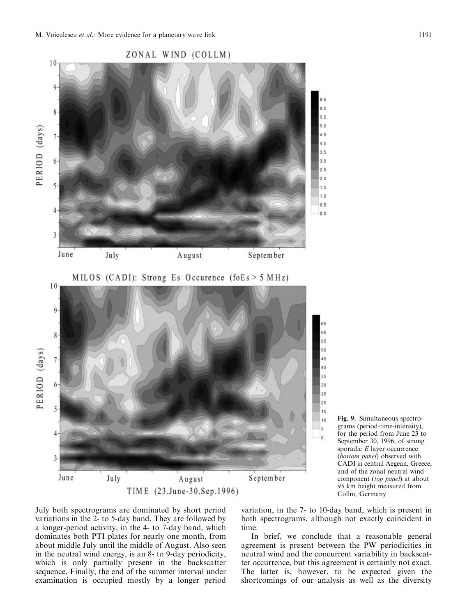

August

TIME (23.June-30.Sep.1996)

Fig. 9. Simultaneous spectrograms (period-time-intensity), for the period from June 23 to September 30, 1996, of strong sporadic  $E$  layer occurrence (bottom panel) observed with CADI in central Aegean, Greece, and of the zonal neutral wind component (top panel) at about 95 km height measured from Collm, Germany

July both spectrograms are dominated by short period variations in the 2- to 5-day band. They are followed by a longer-period activity, in the 4- to 7-day band, which dominates both PTI plates for nearly one month, from about middle July until the middle of August. Also seen in the neutral wind energy, is an 8- to 9-day periodicity, which is only partially present in the backscatter sequence. Finally, the end of the summer interval under examination is occupied mostly by a longer period

July

3

June

variation, in the 7- to 10-day band, which is present in both spectrograms, although not exactly coincident in time.

September

In brief, we conclude that a reasonable general agreement is present between the PW periodicities in neutral wind and the concurrent variability in backscatter occurrence, but this agreement is certainly not exact. The latter is, however, to be expected given the shortcomings of our analysis as well as the diversity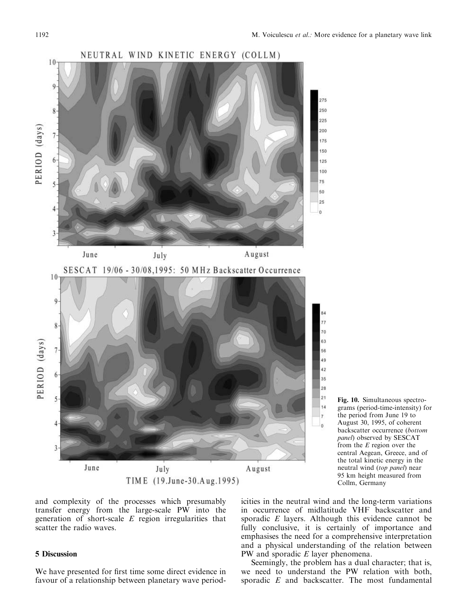



and complexity of the processes which presumably transfer energy from the large-scale PW into the generation of short-scale  $E$  region irregularities that scatter the radio waves.

# **5 Discussion**

We have presented for first time some direct evidence in favour of a relationship between planetary wave periodicities in the neutral wind and the long-term variations in occurrence of midlatitude VHF backscatter and sporadic  $E$  layers. Although this evidence cannot be fully conclusive, it is certainly of importance and emphasises the need for a comprehensive interpretation and a physical understanding of the relation between PW and sporadic  $E$  layer phenomena.

Seemingly, the problem has a dual character; that is, we need to understand the PW relation with both, sporadic E and backscatter. The most fundamental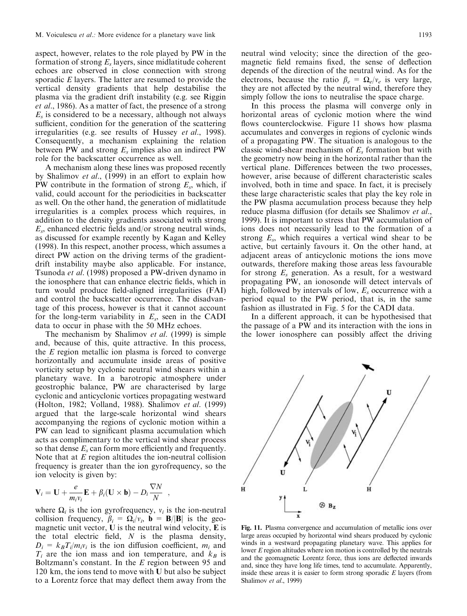aspect, however, relates to the role played by PW in the formation of strong  $E_s$  layers, since midlatitude coherent echoes are observed in close connection with strong sporadic  $E$  layers. The latter are resumed to provide the vertical density gradients that help destabilise the plasma via the gradient drift instability (e.g. see Riggin *et al.*, 1986). As a matter of fact, the presence of a strong  $E_s$  is considered to be a necessary, although not always sufficient, condition for the generation of the scattering irregularities (e.g. see results of Hussey et al., 1998). Consequently, a mechanism explaining the relation between PW and strong  $E_s$  implies also an indirect PW role for the backscatter occurrence as well.

A mechanism along these lines was proposed recently by Shalimov et al., (1999) in an effort to explain how PW contribute in the formation of strong  $E_s$ , which, if valid, could account for the periodicities in backscatter as well. On the other hand, the generation of midlatitude irregularities is a complex process which requires, in addition to the density gradients associated with strong  $E_s$ , enhanced electric fields and/or strong neutral winds, as discussed for example recently by Kagan and Kelley (1998). In this respect, another process, which assumes a direct PW action on the driving terms of the gradientdrift instability maybe also applicable. For instance, Tsunoda et al. (1998) proposed a PW-driven dynamo in the ionosphere that can enhance electric fields, which in turn would produce field-aligned irregularities (FAI) and control the backscatter occurrence. The disadvantage of this process, however is that it cannot account for the long-term variability in  $E_s$ , seen in the CADI data to occur in phase with the 50 MHz echoes.

The mechanism by Shalimov et al. (1999) is simple and, because of this, quite attractive. In this process, the  $E$  region metallic ion plasma is forced to converge horizontally and accumulate inside areas of positive vorticity setup by cyclonic neutral wind shears within a planetary wave. In a barotropic atmosphere under geostrophic balance, PW are characterised by large cyclonic and anticyclonic vortices propagating westward (Holton, 1982; Volland, 1988). Shalimov et al. (1999) argued that the large-scale horizontal wind shears accompanying the regions of cyclonic motion within a PW can lead to significant plasma accumulation which acts as complimentary to the vertical wind shear process so that dense  $E_s$  can form more efficiently and frequently. Note that at  $E$  region altitudes the ion-neutral collision frequency is greater than the ion gyrofrequency, so the ion velocity is given by:

$$
\mathbf{V}_i = \mathbf{U} + \frac{e}{m_i v_i} \mathbf{E} + \beta_i (\mathbf{U} \times \mathbf{b}) - D_i \frac{\nabla N}{N} ,
$$

where  $\Omega_i$  is the ion gyrofrequency,  $v_i$  is the ion-neutral collision frequency,  $\beta_i = \Omega_i/v_i$ ,  $\mathbf{b} = \mathbf{B}/|\mathbf{B}|$  is the geomagnetic unit vector, U is the neutral wind velocity, E is the total electric field,  $N$  is the plasma density,  $D_i = k_B T_i / m_i v_i$  is the ion diffusion coefficient,  $m_i$  and  $T_i$  are the ion mass and ion temperature, and  $k_B$  is Boltzmann's constant. In the  $E$  region between 95 and 120 km, the ions tend to move with U but also be subject to a Lorentz force that may deflect them away from the neutral wind velocity; since the direction of the geomagnetic field remains fixed, the sense of deflection depends of the direction of the neutral wind. As for the electrons, because the ratio  $\beta_e = \Omega_e/v_e$  is very large, they are not affected by the neutral wind, therefore they simply follow the ions to neutralise the space charge.

In this process the plasma will converge only in horizontal areas of cyclonic motion where the wind flows counterclockwise. Figure 11 shows how plasma accumulates and converges in regions of cyclonic winds of a propagating PW. The situation is analogous to the classic wind-shear mechanism of  $E_s$  formation but with the geometry now being in the horizontal rather than the vertical plane. Differences between the two processes, however, arise because of different characteristic scales involved, both in time and space. In fact, it is precisely these large characteristic scales that play the key role in the PW plasma accumulation process because they help reduce plasma diffusion (for details see Shalimov et al., 1999). It is important to stress that PW accumulation of ions does not necessarily lead to the formation of a strong  $E_s$ , which requires a vertical wind shear to be active, but certainly favours it. On the other hand, at adjacent areas of anticyclonic motions the ions move outwards, therefore making those areas less favourable for strong  $E_s$  generation. As a result, for a westward propagating PW, an ionosonde will detect intervals of high, followed by intervals of low,  $E_s$  occurrence with a period equal to the PW period, that is, in the same fashion as illustrated in Fig. 5 for the CADI data.

In a different approach, it can be hypothesised that the passage of a PW and its interaction with the ions in the lower ionosphere can possibly affect the driving



large areas occupied by horizontal wind shears produced by cyclonic winds in a westward propagating planetary wave. This applies for lower E region altitudes where ion motion is controlled by the neutrals and the geomagnetic Lorentz force, thus ions are deflected inwards and, since they have long life times, tend to accumulate. Apparently, inside these areas it is easier to form strong sporadic  $E$  layers (from Shalimov et al., 1999)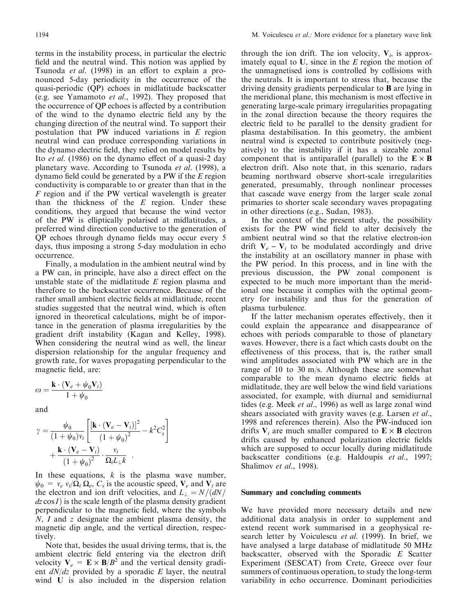terms in the instability process, in particular the electric field and the neutral wind. This notion was applied by Tsunoda *et al.* (1998) in an effort to explain a pronounced 5-day periodicity in the occurrence of the quasi-periodic (QP) echoes in midlatitude backscatter (e.g. see Yamamoto et al., 1992). They proposed that the occurrence of QP echoes is affected by a contribution of the wind to the dynamo electric field any by the changing direction of the neutral wind. To support their postulation that PW induced variations in  $E$  region neutral wind can produce corresponding variations in the dynamo electric field, they relied on model results by Ito et al. (1986) on the dynamo effect of a quasi-2 day planetary wave. According to Tsunoda et al. (1998), a dynamo field could be generated by a PW if the  $E$  region conductivity is comparable to or greater than that in the F region and if the PW vertical wavelength is greater than the thickness of the  $E$  region. Under these conditions, they argued that because the wind vector of the PW is elliptically polarised at midlatitudes, a preferred wind direction conductive to the generation of QP echoes through dynamo fields may occur every 5 days, thus imposing a strong 5-day modulation in echo occurrence.

Finally, a modulation in the ambient neutral wind by a PW can, in principle, have also a direct effect on the unstable state of the midlatitude  $E$  region plasma and therefore to the backscatter occurrence. Because of the rather small ambient electric fields at midlatitude, recent studies suggested that the neutral wind, which is often ignored in theoretical calculations, might be of importance in the generation of plasma irregularities by the gradient drift instability (Kagan and Kelley, 1998). When considering the neutral wind as well, the linear dispersion relationship for the angular frequency and growth rate, for waves propagating perpendicular to the magnetic field, are:

$$
\omega = \frac{\mathbf{k} \cdot (\mathbf{V}_e + \psi_0 \mathbf{V}_i)}{1 + \psi_0}
$$

and

$$
\gamma = \frac{\psi_0}{(1 + \psi_0)v_i} \left[ \frac{\left[\mathbf{k} \cdot (\mathbf{V}_e - \mathbf{V}_i)\right]^2}{(1 + \psi_0)^2} - k^2 C_s^2 \right] + \frac{\mathbf{k} \cdot (\mathbf{V}_e - \mathbf{V}_i)}{(1 + \psi_0)^2} \cdot \frac{v_i}{\Omega_i L_\perp k}
$$

In these equations,  $k$  is the plasma wave number,  $\psi_0 = v_e v_i / \Omega_i \Omega_e$ ,  $C_s$  is the acoustic speed,  $V_e$  and  $V_i$  are the electron and ion drift velocities, and  $L_{\perp} = N/(dN)$  $dz \cos I$ ) is the scale length of the plasma density gradient perpendicular to the magnetic field, where the symbols N, I and z designate the ambient plasma density, the magnetic dip angle, and the vertical direction, respectively.

Note that, besides the usual driving terms, that is, the ambient electric field entering via the electron drift velocity  $V_e = E \times B/B^2$  and the vertical density gradient  $dN/dz$  provided by a sporadic E layer, the neutral wind U is also included in the dispersion relation

through the ion drift. The ion velocity,  $V_i$ , is approximately equal to  $U$ , since in the  $E$  region the motion of the unmagnetised ions is controlled by collisions with the neutrals. It is important to stress that, because the driving density gradients perpendicular to  $\bf{B}$  are lying in the meridional plane, this mechanism is most effective in generating large-scale primary irregularities propagating in the zonal direction because the theory requires the electric field to be parallel to the density gradient for plasma destabilisation. In this geometry, the ambient neutral wind is expected to contribute positively (negatively) to the instability if it has a sizeable zonal component that is antiparallel (parallel) to the  $E \times B$ electron drift. Also note that, in this scenario, radars beaming northward observe short-scale irregularities generated, presumably, through nonlinear processes that cascade wave energy from the larger scale zonal primaries to shorter scale secondary waves propagating in other directions (e.g., Sudan, 1983).

In the context of the present study, the possibility exists for the PW wind field to alter decisively the ambient neutral wind so that the relative electron-ion drift  $V_e - V_i$  to be modulated accordingly and drive the instability at an oscillatory manner in phase with the PW period. In this process, and in line with the previous discussion, the PW zonal component is expected to be much more important than the meridional one because it complies with the optimal geometry for instability and thus for the generation of plasma turbulence.

If the latter mechanism operates effectively, then it could explain the appearance and disappearance of echoes with periods comparable to those of planetary waves. However, there is a fact which casts doubt on the effectiveness of this process, that is, the rather small wind amplitudes associated with PW which are in the range of 10 to 30 m/s. Although these are somewhat comparable to the mean dynamo electric fields at midlatitude, they are well below the wind field variations associated, for example, with diurnal and semidiurnal tides (e.g. Meek et al., 1996) as well as large zonal wind shears associated with gravity waves (e.g. Larsen et al., 1998 and references therein). Also the PW-induced ion drifts  $V_i$  are much smaller compared to  $E \times B$  electron drifts caused by enhanced polarization electric fields which are supposed to occur locally during midlatitude backscatter conditions (e.g. Haldoupis *et al.*, 1997; Shalimov et al., 1998).

#### Summary and concluding comments

We have provided more necessary details and new additional data analysis in order to supplement and extend recent work summarised in a geophysical research letter by Voiculescu et al. (1999). In brief, we have analysed a large database of midlatitude 50 MHz backscatter, observed with the Sporadic E Scatter Experiment (SESCAT) from Crete, Greece over four summers of continuous operation, to study the long-term variability in echo occurrence. Dominant periodicities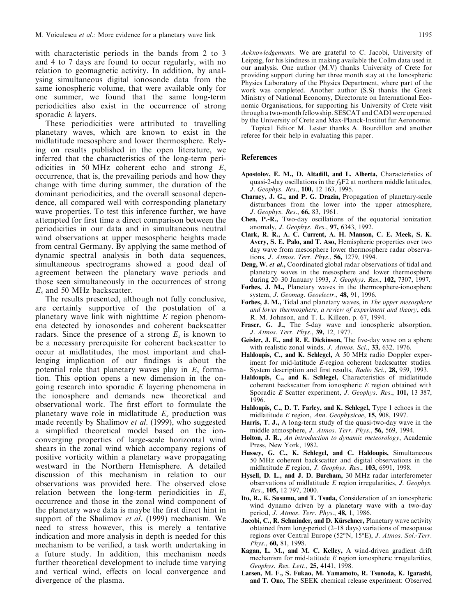with characteristic periods in the bands from 2 to 3 and 4 to 7 days are found to occur regularly, with no relation to geomagnetic activity. In addition, by analysing simultaneous digital ionosonde data from the same ionospheric volume, that were available only for one summer, we found that the same long-term periodicities also exist in the occurrence of strong sporadic  $E$  layers.

These periodicities were attributed to travelling planetary waves, which are known to exist in the midlatitude mesosphere and lower thermosphere. Relying on results published in the open literature, we inferred that the characteristics of the long-term periodicities in 50 MHz coherent echo and strong  $E_s$ occurrence, that is, the prevailing periods and how they change with time during summer, the duration of the dominant periodicities, and the overall seasonal dependence, all compared well with corresponding planetary wave properties. To test this inference further, we have attempted for first time a direct comparison between the periodicities in our data and in simultaneous neutral wind observations at upper mesospheric heights made from central Germany. By applying the same method of dynamic spectral analysis in both data sequences, simultaneous spectrograms showed a good deal of agreement between the planetary wave periods and those seen simultaneously in the occurrences of strong  $E<sub>s</sub>$  and 50 MHz backscatter.

The results presented, although not fully conclusive, are certainly supportive of the postulation of a planetary wave link with nighttime  $E$  region phenomena detected by ionosondes and coherent backscatter radars. Since the presence of a strong  $E_s$  is known to be a necessary prerequisite for coherent backscatter to occur at midlatitudes, the most important and challenging implication of our findings is about the potential role that planetary waves play in  $E_s$  formation. This option opens a new dimension in the ongoing research into sporadic  $E$  layering phenomena in the ionosphere and demands new theoretical and observational work. The first effort to formulate the planetary wave role in midlatitude  $E_s$  production was made recently by Shalimov et al. (1999), who suggested a simplified theoretical model based on the ionconverging properties of large-scale horizontal wind shears in the zonal wind which accompany regions of positive vorticity within a planetary wave propagating westward in the Northern Hemisphere. A detailed discussion of this mechanism in relation to our observations was provided here. The observed close relation between the long-term periodicities in  $E_s$ occurrence and those in the zonal wind component of the planetary wave data is maybe the first direct hint in support of the Shalimov et al. (1999) mechanism. We need to stress however, this is merely a tentative indication and more analysis in depth is needed for this mechanism to be verified, a task worth undertaking in a future study. In addition, this mechanism needs further theoretical development to include time varying and vertical wind, effects on local convergence and divergence of the plasma.

Acknowledgements. We are grateful to C. Jacobi, University of Leipzig, for his kindness in making available the Collm data used in our analysis. One author (M.V) thanks University of Crete for providing support during her three month stay at the Ionospheric Physics Laboratory of the Physics Department, where part of the work was completed. Another author (S.S) thanks the Greek Ministry of National Economy, Directorate on International Economic Organisations, for supporting his University of Crete visit through a two-month fellowship. SESCAT and CADI were operated

by the University of Crete and Max-Planck-Institut fur Aeronomie. Topical Editor M. Lester thanks A. Bourdillon and another referee for their help in evaluating this paper.

#### **References**

- Apostolov, E. M., D. Altadill, and L. Alberta, Characteristics of quasi-2-day oscillations in the  $f_0F_2$  at northern middle latitudes, J. Geophys. Res., 100, 12 163, 1995.
- Charney, J. G., and P. G. Drazin, Propagation of planetary-scale disturbances from the lower into the upper atmosphere, J. Geophys. Res., 66, 83, 1961.
- Chen, P.-R., Two-day oscillations of the equatorial ionization anomaly, *J. Geophys. Res.*, 97, 6343, 1992.
- Clark, R. R., A. C. Current, A. H. Manson, C. E. Meek, S. K. Avery, S. E. Palo, and T. Aso, Hemispheric properties over two day wave from mesosphere lower thermosphere radar observations, J. Atmos. Terr. Phys., 56, 1279, 1994.
- Deng, W. et al., Coordinated global radar observations of tidal and planetary waves in the mesosphere and lower thermosphere during 20-30 January 1993, J. Geophys. Res., 102, 7307, 1997.
- Forbes, J. M., Planetary waves in the thermosphere-ionosphere system, J. Geomag. Geoelectr., 48, 91, 1996.
- Forbes, J. M., Tidal and planetary waves, in The upper mesosphere and lower thermosphere, a review of experiment and theory, eds. R. M. Johnson, and T. L. Killeen, p. 67, 1994.
- Fraser, G. J., The 5-day wave and ionospheric absorption, J. Atmos. Terr. Phys., 39, 12, 1977.
- Geisler, J. E., and R. E. Dickinson, The five-day wave on a sphere with realistic zonal winds, J. Atmos. Sci., 33, 632, 1976.
- Haldoupis, C., and K. Schlegel, A 50 MHz radio Doppler experiment for mid-latitude E-region coherent backscatter studies. System description and first results, Radio Sci., 28, 959, 1993.
- Haldoupis, C., and K. Schlegel, Characteristics of midlatitude coherent backscatter from ionospheric  $E$  region obtained with Sporadic E Scatter experiment, J. Geophys. Res., 101, 13 387, 1996.
- Haldoupis, C., D. T. Farley, and K. Schlegel, Type 1 echoes in the midlatitude E region, Ann. Geophysicae, 15, 908, 1997.
- Harris, T. J., A long-term study of the quasi-two-day wave in the middle atmosphere, J. Atmos. Terr. Phys., 56, 569, 1994.
- Holton, J. R., An introduction to dynamic meteorology, Academic Press, New York, 1982.
- Hussey, G. C., K. Schlegel, and C. Haldoupis, Simultaneous 50 MHz coherent backscatter and digital observations in the midlatitude E region, J. Geophys. Res., 103, 6991, 1998.
- Hysell, D. L., and J. D. Burcham, 30 MHz radar interferometer observations of midlatitude  $E$  region irregularities,  $J.$  Geophys. Res., 105, 12 797, 2000.
- Ito, R., K. Susumu, and T. Tsuda, Consideration of an ionospheric wind dynamo driven by a planetary wave with a two-day period, *J. Atmos. Terr. Phys.*, **48,** 1, 1986.
- Jacobi, C., R. Schminder, and D. Kürschner, Planetary wave activity obtained from long-period (2-18 days) variations of mesopause regions over Central Europe (52°N, 15°E), J. Atmos. Sol.-Terr. Phys., 60, 81, 1998.
- Kagan, L. M., and M. C. Kelley, A wind-driven gradient drift mechanism for mid-latitude  $E$  region ionospheric irregularities, Geophys. Res. Lett., 25, 4141, 1998.
- Larsen, M. F., S. Fukao, M. Yamamoto, R. Tsunoda, K. Igarashi, and T. Ono, The SEEK chemical release experiment: Observed